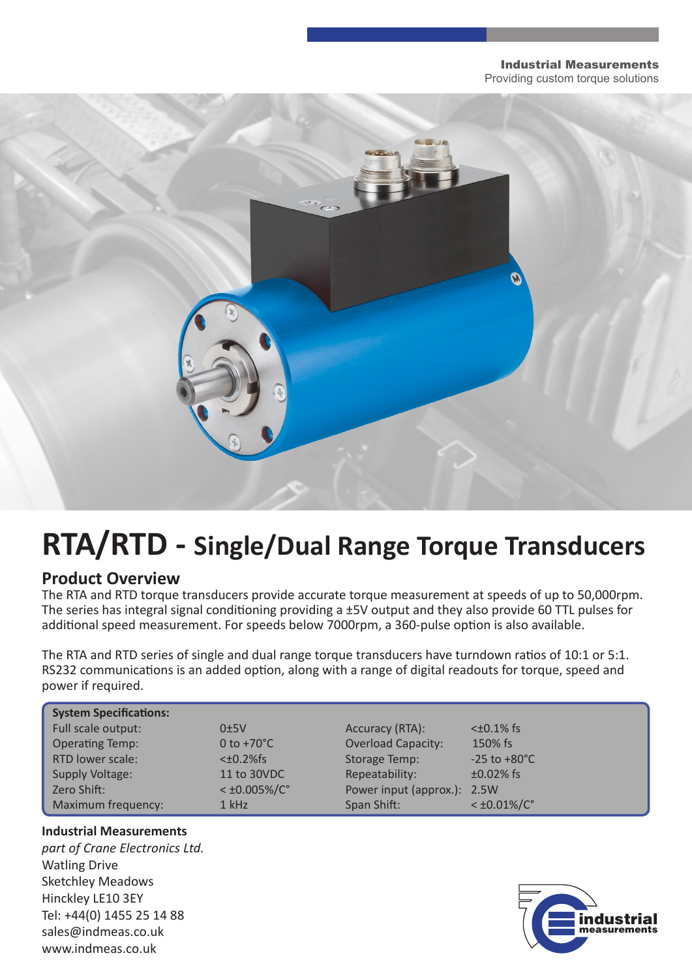#### Industrial Measurements Providing custom torque solutions



# **RTA/RTD - Single/Dual Range Torque Transducers**

## **Product Overview**

The RTA and RTD torque transducers provide accurate torque measurement at speeds of up to 50,000rpm. The series has integral signal conditioning providing a ±5V output and they also provide 60 TTL pulses for additional speed measurement. For speeds below 7000rpm, a 360-pulse option is also available.

The RTA and RTD series of single and dual range torque transducers have turndown ratios of 10:1 or 5:1. RS232 communications is an added option, along with a range of digital readouts for torque, speed and power if required.

| <b>System Specifications:</b> |                          |                             |                          |
|-------------------------------|--------------------------|-----------------------------|--------------------------|
| Full scale output:            | 0±5V                     | Accuracy (RTA):             | $<\pm 0.1\%$ fs          |
| <b>Operating Temp:</b>        | 0 to $+70^{\circ}$ C     | <b>Overload Capacity:</b>   | 150% fs                  |
| RTD lower scale:              | $<\pm 0.2\%$ fs          | <b>Storage Temp:</b>        | $-25$ to $+80^{\circ}$ C |
| Supply Voltage:               | 11 to 30VDC              | Repeatability:              | $±0.02%$ fs              |
| Zero Shift:                   | $<$ ±0.005%/C $^{\circ}$ | Power input (approx.): 2.5W |                          |
| Maximum frequency:            | 1 kHz                    | Span Shift:                 | $<\pm 0.01\%/C^{\circ}$  |

#### **Industrial Measurements**

*part of Crane Electronics Ltd.* Watling Drive Sketchley Meadows Hinckley LE10 3EY Tel: +44(0) 1455 25 14 88 sales@indmeas.co.uk www.indmeas.co.uk

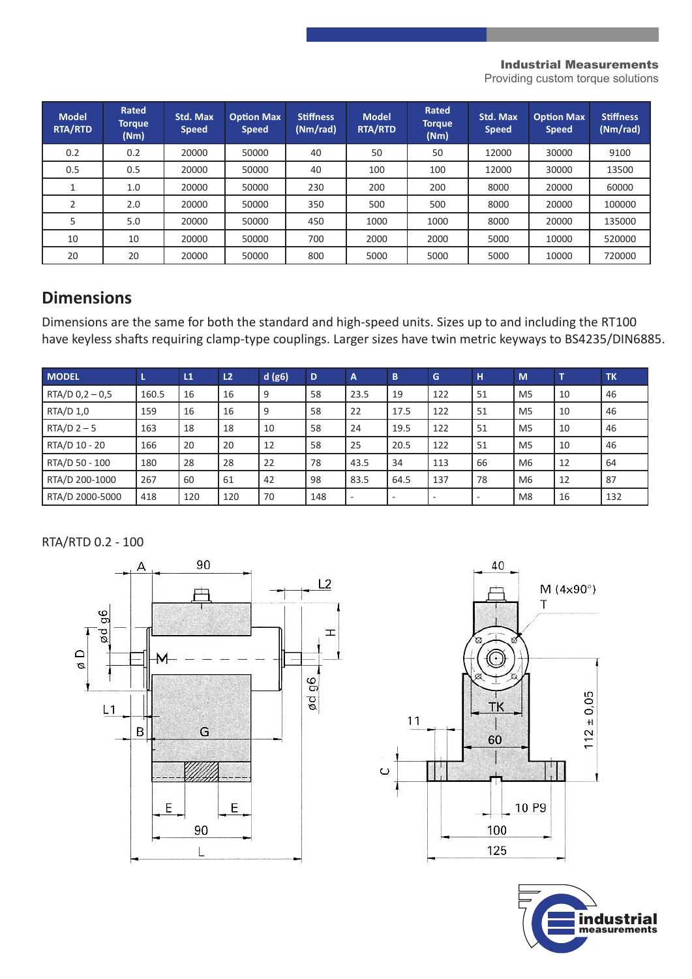#### Industrial Measurements

Providing custom torque solutions

| <b>Model</b><br><b>RTA/RTD</b> | Rated<br><b>Torque</b><br>(Nm) | Std. Max<br><b>Speed</b> | <b>Option Max</b><br><b>Speed</b> | <b>Stiffness</b><br>(Nm/rad) | <b>Model</b><br><b>RTA/RTD</b> | Rated<br><b>Torque</b><br>(Nm) | Std. Max<br><b>Speed</b> | <b>Option Max</b><br><b>Speed</b> | <b>Stiffness</b><br>(Nm/rad) |
|--------------------------------|--------------------------------|--------------------------|-----------------------------------|------------------------------|--------------------------------|--------------------------------|--------------------------|-----------------------------------|------------------------------|
| 0.2                            | 0.2                            | 20000                    | 50000                             | 40                           | 50                             | 50                             | 12000                    | 30000                             | 9100                         |
| 0.5                            | 0.5                            | 20000                    | 50000                             | 40                           | 100                            | 100                            | 12000                    | 30000                             | 13500                        |
|                                | 1.0                            | 20000                    | 50000                             | 230                          | 200                            | 200                            | 8000                     | 20000                             | 60000                        |
|                                | 2.0                            | 20000                    | 50000                             | 350                          | 500                            | 500                            | 8000                     | 20000                             | 100000                       |
|                                | 5.0                            | 20000                    | 50000                             | 450                          | 1000                           | 1000                           | 8000                     | 20000                             | 135000                       |
| 10                             | 10                             | 20000                    | 50000                             | 700                          | 2000                           | 2000                           | 5000                     | 10000                             | 520000                       |
| 20                             | 20                             | 20000                    | 50000                             | 800                          | 5000                           | 5000                           | 5000                     | 10000                             | 720000                       |

## **Dimensions**

Dimensions are the same for both the standard and high-speed units. Sizes up to and including the RT100 have keyless shafts requiring clamp-type couplings. Larger sizes have twin metric keyways to BS4235/DIN6885.

| <b>MODEL</b>      | L     | L1  | L <sub>2</sub> | d(g6) | D   | $\overline{A}$           | B                        | G                        | H                        | M              | T  | <b>TK</b> |
|-------------------|-------|-----|----------------|-------|-----|--------------------------|--------------------------|--------------------------|--------------------------|----------------|----|-----------|
| $RTA/D 0,2 - 0,5$ | 160.5 | 16  | 16             | 9     | 58  | 23.5                     | 19                       | 122                      | 51                       | M <sub>5</sub> | 10 | 46        |
| RTA/D 1,0         | 159   | 16  | 16             | 9     | 58  | 22                       | 17.5                     | 122                      | 51                       | M <sub>5</sub> | 10 | 46        |
| $RTA/D$ 2 - 5     | 163   | 18  | 18             | 10    | 58  | 24                       | 19.5                     | 122                      | 51                       | M <sub>5</sub> | 10 | 46        |
| RTA/D 10 - 20     | 166   | 20  | 20             | 12    | 58  | 25                       | 20.5                     | 122                      | 51                       | M <sub>5</sub> | 10 | 46        |
| RTA/D 50 - 100    | 180   | 28  | 28             | 22    | 78  | 43.5                     | 34                       | 113                      | 66                       | M <sub>6</sub> | 12 | 64        |
| RTA/D 200-1000    | 267   | 60  | 61             | 42    | 98  | 83.5                     | 64.5                     | 137                      | 78                       | M <sub>6</sub> | 12 | 87        |
| RTA/D 2000-5000   | 418   | 120 | 120            | 70    | 148 | $\overline{\phantom{a}}$ | $\overline{\phantom{a}}$ | $\overline{\phantom{a}}$ | $\overline{\phantom{a}}$ | M <sub>8</sub> | 16 | 132       |

RTA/RTD 0.2 - 100





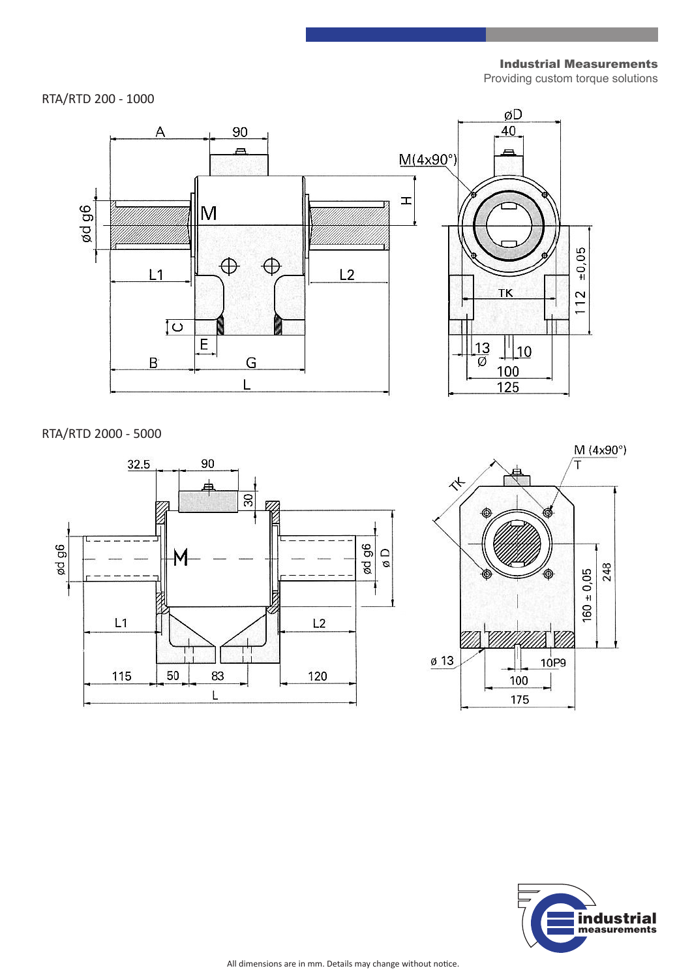Industrial Measurements

Providing custom torque solutions





RTA/RTD 2000 - 5000